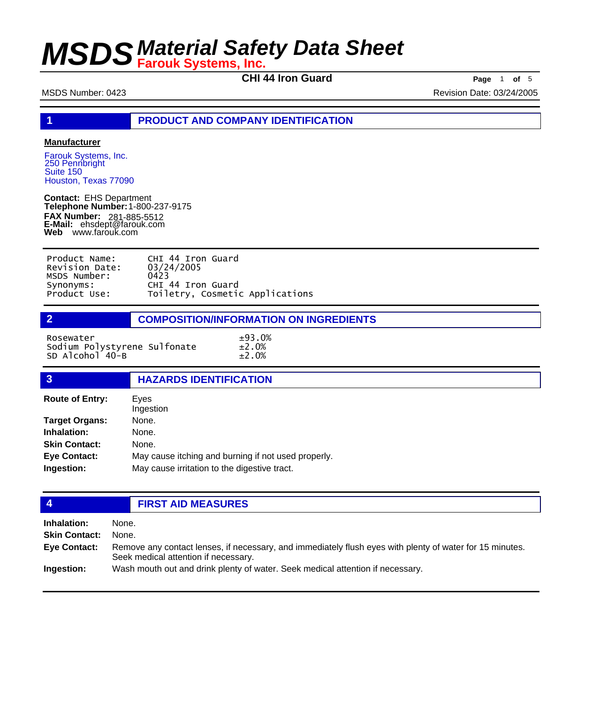**CHI 44 Iron Guard Page** 1 **of** 5

MSDS Number: 0423 Revision Date: 03/24/2005

**1 PRODUCT AND COMPANY IDENTIFICATION**

### **Manufacturer**

Farouk Systems, Inc. 250 Pennbright Suite 150 Houston, Texas 77090

**Contact:** EHS Department **Telephone Number:** 1-800-237-9175 **FAX Number: FAX Number:** 281-885-5512<br>**E-Mail:** ehsdept@farouk.com **Web** www.farouk.com

| Product Name:  | CHI 44 Iron Guard               |
|----------------|---------------------------------|
| Revision Date: | 03/24/2005                      |
| MSDS Number:   | 0423                            |
| Synonyms:      | CHI 44 Iron Guard               |
| Product Use:   | Toiletry, Cosmetic Applications |

### **2 COMPOSITION/INFORMATION ON INGREDIENTS**

Rosewater  $\pm 93.0\%$ Sodium Polystyrene Sulfonate ±2.0% SD Alcohol  $40 - B$   $\pm 2.0\%$ 

| $\overline{3}$         | <b>HAZARDS IDENTIFICATION</b>                       |
|------------------------|-----------------------------------------------------|
| <b>Route of Entry:</b> | Eves<br>Ingestion                                   |
| <b>Target Organs:</b>  | None.                                               |
| Inhalation:            | None.                                               |
| <b>Skin Contact:</b>   | None.                                               |
| <b>Eye Contact:</b>    | May cause itching and burning if not used properly. |
| Ingestion:             | May cause irritation to the digestive tract.        |
|                        |                                                     |

## **4 FIRST AID MEASURES**

| Inhalation:          | None.                                                                                                                                            |
|----------------------|--------------------------------------------------------------------------------------------------------------------------------------------------|
| <b>Skin Contact:</b> | None.                                                                                                                                            |
| Eye Contact:         | Remove any contact lenses, if necessary, and immediately flush eyes with plenty of water for 15 minutes.<br>Seek medical attention if necessary. |
| Ingestion:           | Wash mouth out and drink plenty of water. Seek medical attention if necessary.                                                                   |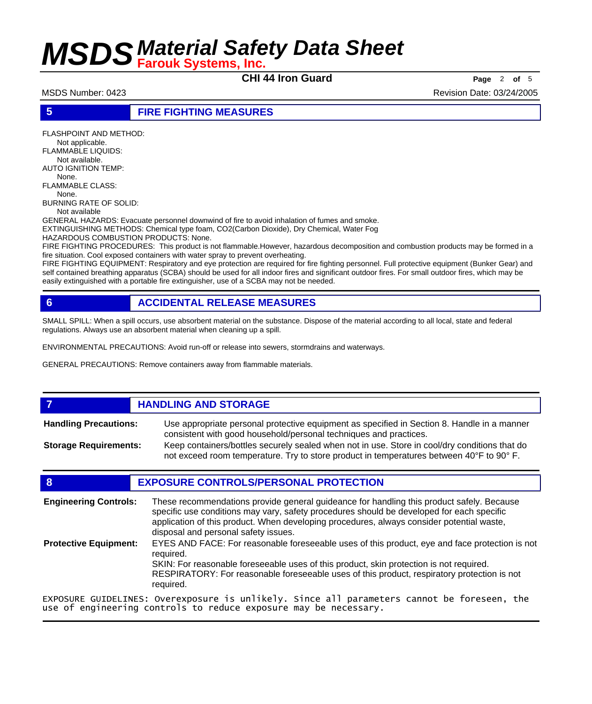**CHI 44 Iron Guard Page** <sup>2</sup> **of** <sup>5</sup>

MSDS Number: 0423 **Revision Date: 03/24/2005** Revision Date: 03/24/2005

**5 FIRE FIGHTING MEASURES**

FLASHPOINT AND METHOD: Not applicable. FLAMMABLE LIQUIDS: Not available. AUTO IGNITION TEMP: None. FLAMMABLE CLASS: None. BURNING RATE OF SOLID: Not available GENERAL HAZARDS: Evacuate personnel downwind of fire to avoid inhalation of fumes and smoke. EXTINGUISHING METHODS: Chemical type foam, CO2(Carbon Dioxide), Dry Chemical, Water Fog HAZARDOUS COMBUSTION PRODUCTS: None.

FIRE FIGHTING PROCEDURES: This product is not flammable.However, hazardous decomposition and combustion products may be formed in a fire situation. Cool exposed containers with water spray to prevent overheating.

FIRE FIGHTING EQUIPMENT: Respiratory and eye protection are required for fire fighting personnel. Full protective equipment (Bunker Gear) and self contained breathing apparatus (SCBA) should be used for all indoor fires and significant outdoor fires. For small outdoor fires, which may be easily extinguished with a portable fire extinguisher, use of a SCBA may not be needed.

## **6 ACCIDENTAL RELEASE MEASURES**

SMALL SPILL: When a spill occurs, use absorbent material on the substance. Dispose of the material according to all local, state and federal regulations. Always use an absorbent material when cleaning up a spill.

ENVIRONMENTAL PRECAUTIONS: Avoid run-off or release into sewers, stormdrains and waterways.

GENERAL PRECAUTIONS: Remove containers away from flammable materials.

## *HANDLING AND STORAGE*

Use appropriate personal protective equipment as specified in Section 8. Handle in a manner consistent with good household/personal techniques and practices. **Handling Precautions:** Keep containers/bottles securely sealed when not in use. Store in cool/dry conditions that do **Storage Requirements:**

not exceed room temperature. Try to store product in temperatures between 40°F to 90° F.

## **8 EXPOSURE CONTROLS/PERSONAL PROTECTION**

These recommendations provide general guideance for handling this product safely. Because specific use conditions may vary, safety procedures should be developed for each specific application of this product. When developing procedures, always consider potential waste, disposal and personal safety issues. **Engineering Controls:** EYES AND FACE: For reasonable foreseeable uses of this product, eye and face protection is not required. SKIN: For reasonable foreseeable uses of this product, skin protection is not required. RESPIRATORY: For reasonable foreseeable uses of this product, respiratory protection is not required. **Protective Equipment:** EXPOSURE GUIDELINES: Overexposure is unlikely. Since all parameters cannot be foreseen, the

use of engineering controls to reduce exposure may be necessary.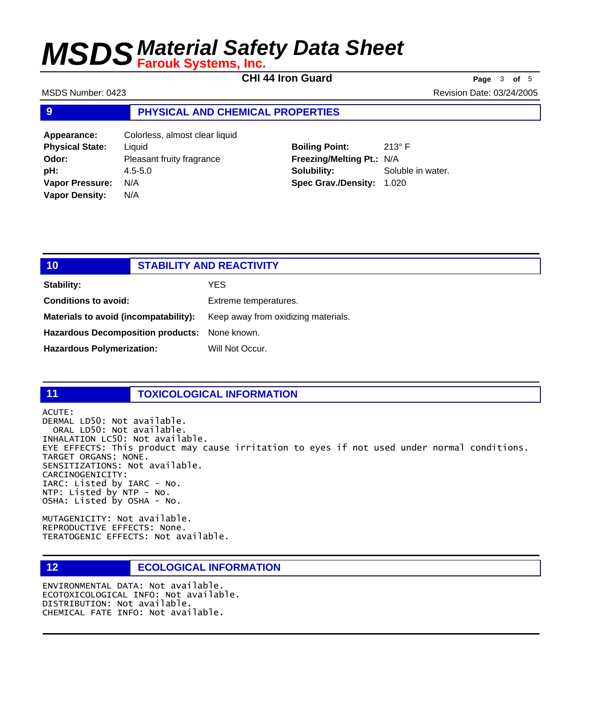**CHI 44 Iron Guard Page** <sup>3</sup> **of** <sup>5</sup>

MSDS Number: 0423 **Revision Date: 03/24/2005** Revision Date: 03/24/2005

### **9 PHYSICAL AND CHEMICAL PROPERTIES**

**Appearance:** Colorless, almost clear liquid **Physical State:** Liquid **Odor:** Pleasant fruity fragrance **pH:** 4.5-5.0 **Vapor Pressure:** N/A **Vapor Density:** N/A

## **Boiling Point:** 213° F **Freezing/Melting Pt.:** N/A **Solubility:** Soluble in water. **Spec Grav./Density:** 1.020

| 10                                                   | <b>STABILITY AND REACTIVITY</b> |                                     |
|------------------------------------------------------|---------------------------------|-------------------------------------|
| Stability:                                           |                                 | YES.                                |
| <b>Conditions to avoid:</b>                          |                                 | Extreme temperatures.               |
| Materials to avoid (incompatability):                |                                 | Keep away from oxidizing materials. |
| <b>Hazardous Decomposition products:</b> None known. |                                 |                                     |
| <b>Hazardous Polymerization:</b>                     |                                 | Will Not Occur.                     |

## **11 TOXICOLOGICAL INFORMATION**

ACUTE: DERMAL LD50: Not available. ORAL LD50: Not available. INHALATION LC50: Not available. EYE EFFECTS: This product may cause irritation to eyes if not used under normal conditions. TARGET ORGANS: NONE. SENSITIZATIONS: Not available. CARCINOGENICITY: IARC: Listed by IARC - No. NTP: Listed by NTP - No. OSHA: Listed by OSHA - No.

MUTAGENICITY: Not available. REPRODUCTIVE EFFECTS: None. TERATOGENIC EFFECTS: Not available.

## **12 ECOLOGICAL INFORMATION**

ENVIRONMENTAL DATA: Not available. ECOTOXICOLOGICAL INFO: Not available. DISTRIBUTION: Not available. CHEMICAL FATE INFO: Not available.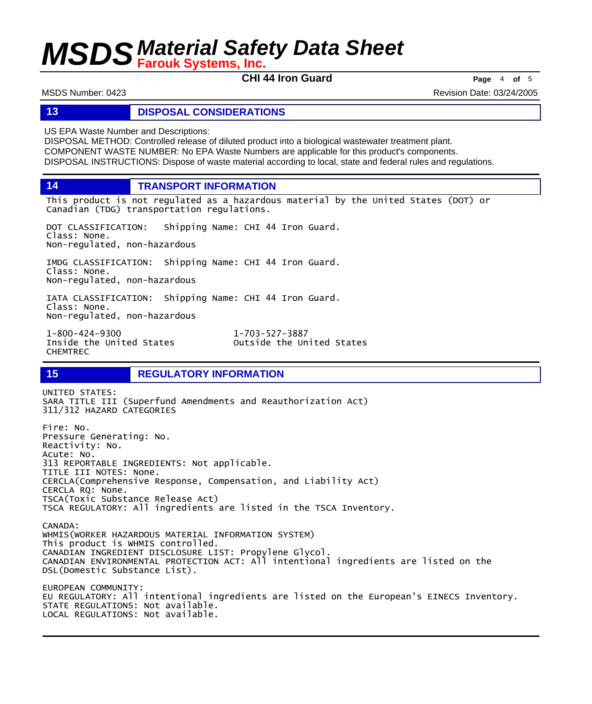**CHI 44 Iron Guard Page** <sup>4</sup> **of** <sup>5</sup>

MSDS Number: 0423 **Revision Date: 03/24/2005** Revision Date: 03/24/2005

### **13 DISPOSAL CONSIDERATIONS**

US EPA Waste Number and Descriptions:

DISPOSAL METHOD: Controlled release of diluted product into a biological wastewater treatment plant. COMPONENT WASTE NUMBER: No EPA Waste Numbers are applicable for this product's components. DISPOSAL INSTRUCTIONS: Dispose of waste material according to local, state and federal rules and regulations.

**14 TRANSPORT INFORMATION**

This product is not regulated as a hazardous material by the United States (DOT) or Canadian (TDG) transportation regulations.

DOT CLASSIFICATION: Shipping Name: CHI 44 Iron Guard. Class: None. Non-regulated, non-hazardous

IMDG CLASSIFICATION: Shipping Name: CHI 44 Iron Guard. Class: None. Non-regulated, non-hazardous

IATA CLASSIFICATION: Shipping Name: CHI 44 Iron Guard. Class: None. Non-regulated, non-hazardous

1-800-424-9300 1-703-527-3887 CHEMTREC

Outside the United States

**15 REGULATORY INFORMATION**

UNITED STATES: SARA TITLE III (Superfund Amendments and Reauthorization Act) 311/312 HAZARD CATEGORIES Fire: No. Pressure Generating: No. Reactivity: No. Acute: No. 313 REPORTABLE INGREDIENTS: Not applicable. TITLE III NOTES: None. CERCLA(Comprehensive Response, Compensation, and Liability Act) CERCLA RQ: None. TSCA(Toxic Substance Release Act) TSCA REGULATORY: All ingredients are listed in the TSCA Inventory. CANADA: WHMIS(WORKER HAZARDOUS MATERIAL INFORMATION SYSTEM)

This product is WHMIS controlled. CANADIAN INGREDIENT DISCLOSURE LIST: Propylene Glycol. CANADIAN ENVIRONMENTAL PROTECTION ACT: All intentional ingredients are listed on the DSL(Domestic Substance List).

EUROPEAN COMMUNITY: EU REGULATORY: All intentional ingredients are listed on the European's EINECS Inventory. STATE REGULATIONS: Not available. LOCAL REGULATIONS: Not available.